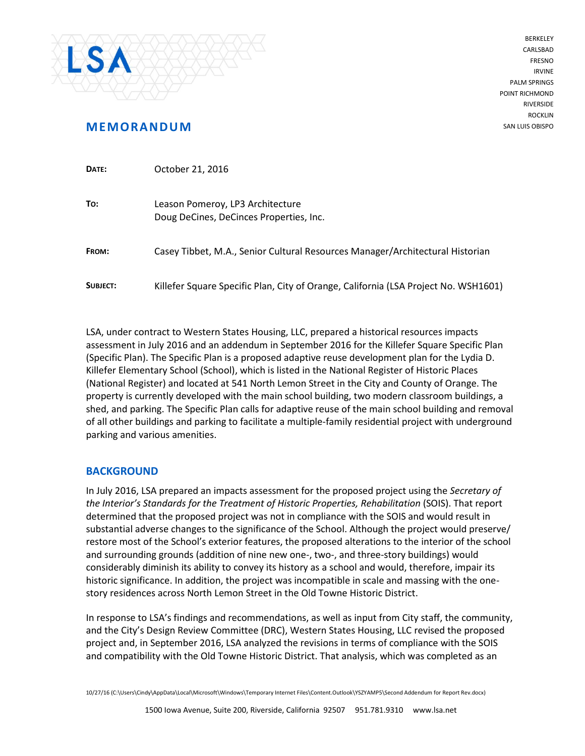

BERKELEY CARLSBAD FRESNO IRVINE PALM SPRINGS POINT RICHMOND RIVERSIDE **ROCKLIN** SAN LUIS OBISPO

# **MEMORANDUM**

| DATE:    | October 21, 2016                                                                    |
|----------|-------------------------------------------------------------------------------------|
| To:      | Leason Pomeroy, LP3 Architecture<br>Doug DeCines, DeCinces Properties, Inc.         |
| FROM:    | Casey Tibbet, M.A., Senior Cultural Resources Manager/Architectural Historian       |
| SUBJECT: | Killefer Square Specific Plan, City of Orange, California (LSA Project No. WSH1601) |

LSA, under contract to Western States Housing, LLC, prepared a historical resources impacts assessment in July 2016 and an addendum in September 2016 for the Killefer Square Specific Plan (Specific Plan). The Specific Plan is a proposed adaptive reuse development plan for the Lydia D. Killefer Elementary School (School), which is listed in the National Register of Historic Places (National Register) and located at 541 North Lemon Street in the City and County of Orange. The property is currently developed with the main school building, two modern classroom buildings, a shed, and parking. The Specific Plan calls for adaptive reuse of the main school building and removal of all other buildings and parking to facilitate a multiple-family residential project with underground parking and various amenities.

### **BACKGROUND**

In July 2016, LSA prepared an impacts assessment for the proposed project using the *Secretary of the Interior's Standards for the Treatment of Historic Properties, Rehabilitation* (SOIS). That report determined that the proposed project was not in compliance with the SOIS and would result in substantial adverse changes to the significance of the School. Although the project would preserve/ restore most of the School's exterior features, the proposed alterations to the interior of the school and surrounding grounds (addition of nine new one-, two-, and three-story buildings) would considerably diminish its ability to convey its history as a school and would, therefore, impair its historic significance. In addition, the project was incompatible in scale and massing with the onestory residences across North Lemon Street in the Old Towne Historic District.

In response to LSA's findings and recommendations, as well as input from City staff, the community, and the City's Design Review Committee (DRC), Western States Housing, LLC revised the proposed project and, in September 2016, LSA analyzed the revisions in terms of compliance with the SOIS and compatibility with the Old Towne Historic District. That analysis, which was completed as an

10/27/16 (C:\Users\Cindy\AppData\Local\Microsoft\Windows\Temporary Internet Files\Content.Outlook\YSZYAMP5\Second Addendum for Report Rev.docx)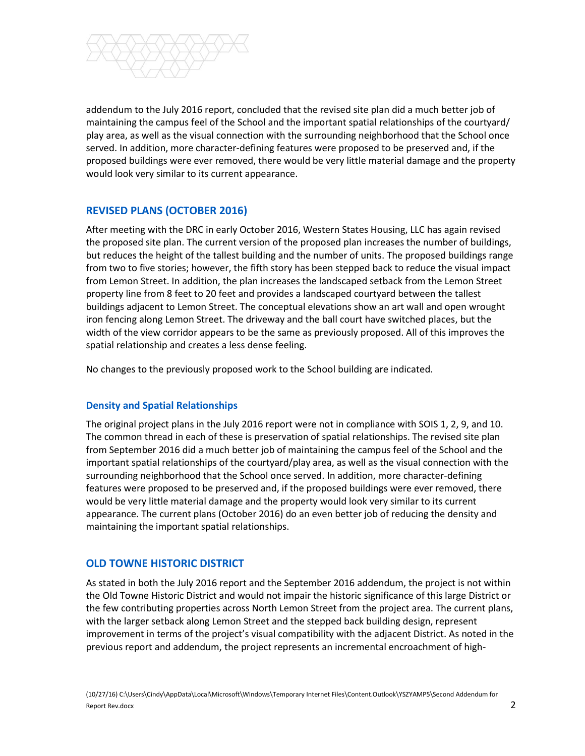

addendum to the July 2016 report, concluded that the revised site plan did a much better job of maintaining the campus feel of the School and the important spatial relationships of the courtyard/ play area, as well as the visual connection with the surrounding neighborhood that the School once served. In addition, more character-defining features were proposed to be preserved and, if the proposed buildings were ever removed, there would be very little material damage and the property would look very similar to its current appearance.

## **REVISED PLANS (OCTOBER 2016)**

After meeting with the DRC in early October 2016, Western States Housing, LLC has again revised the proposed site plan. The current version of the proposed plan increases the number of buildings, but reduces the height of the tallest building and the number of units. The proposed buildings range from two to five stories; however, the fifth story has been stepped back to reduce the visual impact from Lemon Street. In addition, the plan increases the landscaped setback from the Lemon Street property line from 8 feet to 20 feet and provides a landscaped courtyard between the tallest buildings adjacent to Lemon Street. The conceptual elevations show an art wall and open wrought iron fencing along Lemon Street. The driveway and the ball court have switched places, but the width of the view corridor appears to be the same as previously proposed. All of this improves the spatial relationship and creates a less dense feeling.

No changes to the previously proposed work to the School building are indicated.

#### **Density and Spatial Relationships**

The original project plans in the July 2016 report were not in compliance with SOIS 1, 2, 9, and 10. The common thread in each of these is preservation of spatial relationships. The revised site plan from September 2016 did a much better job of maintaining the campus feel of the School and the important spatial relationships of the courtyard/play area, as well as the visual connection with the surrounding neighborhood that the School once served. In addition, more character-defining features were proposed to be preserved and, if the proposed buildings were ever removed, there would be very little material damage and the property would look very similar to its current appearance. The current plans (October 2016) do an even better job of reducing the density and maintaining the important spatial relationships.

### **OLD TOWNE HISTORIC DISTRICT**

As stated in both the July 2016 report and the September 2016 addendum, the project is not within the Old Towne Historic District and would not impair the historic significance of this large District or the few contributing properties across North Lemon Street from the project area. The current plans, with the larger setback along Lemon Street and the stepped back building design, represent improvement in terms of the project's visual compatibility with the adjacent District. As noted in the previous report and addendum, the project represents an incremental encroachment of high-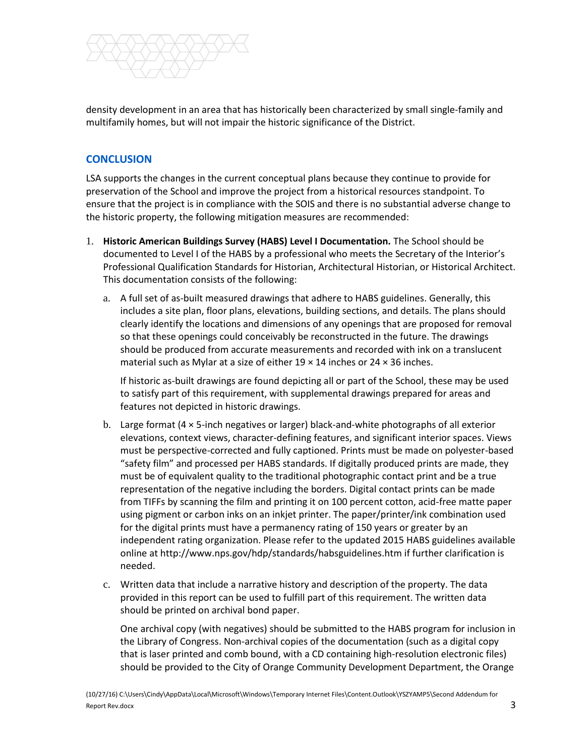

density development in an area that has historically been characterized by small single-family and multifamily homes, but will not impair the historic significance of the District.

## **CONCLUSION**

LSA supports the changes in the current conceptual plans because they continue to provide for preservation of the School and improve the project from a historical resources standpoint. To ensure that the project is in compliance with the SOIS and there is no substantial adverse change to the historic property, the following mitigation measures are recommended:

- 1. **Historic American Buildings Survey (HABS) Level I Documentation.** The School should be documented to Level I of the HABS by a professional who meets the Secretary of the Interior's Professional Qualification Standards for Historian, Architectural Historian, or Historical Architect. This documentation consists of the following:
	- a. A full set of as-built measured drawings that adhere to HABS guidelines. Generally, this includes a site plan, floor plans, elevations, building sections, and details. The plans should clearly identify the locations and dimensions of any openings that are proposed for removal so that these openings could conceivably be reconstructed in the future. The drawings should be produced from accurate measurements and recorded with ink on a translucent material such as Mylar at a size of either  $19 \times 14$  inches or  $24 \times 36$  inches.

If historic as-built drawings are found depicting all or part of the School, these may be used to satisfy part of this requirement, with supplemental drawings prepared for areas and features not depicted in historic drawings.

- b. Large format (4 × 5-inch negatives or larger) black-and-white photographs of all exterior elevations, context views, character-defining features, and significant interior spaces. Views must be perspective-corrected and fully captioned. Prints must be made on polyester-based "safety film" and processed per HABS standards. If digitally produced prints are made, they must be of equivalent quality to the traditional photographic contact print and be a true representation of the negative including the borders. Digital contact prints can be made from TIFFs by scanning the film and printing it on 100 percent cotton, acid-free matte paper using pigment or carbon inks on an inkjet printer. The paper/printer/ink combination used for the digital prints must have a permanency rating of 150 years or greater by an independent rating organization. Please refer to the updated 2015 HABS guidelines available online at http://www.nps.gov/hdp/standards/habsguidelines.htm if further clarification is needed.
- c. Written data that include a narrative history and description of the property. The data provided in this report can be used to fulfill part of this requirement. The written data should be printed on archival bond paper.

One archival copy (with negatives) should be submitted to the HABS program for inclusion in the Library of Congress. Non-archival copies of the documentation (such as a digital copy that is laser printed and comb bound, with a CD containing high-resolution electronic files) should be provided to the City of Orange Community Development Department, the Orange